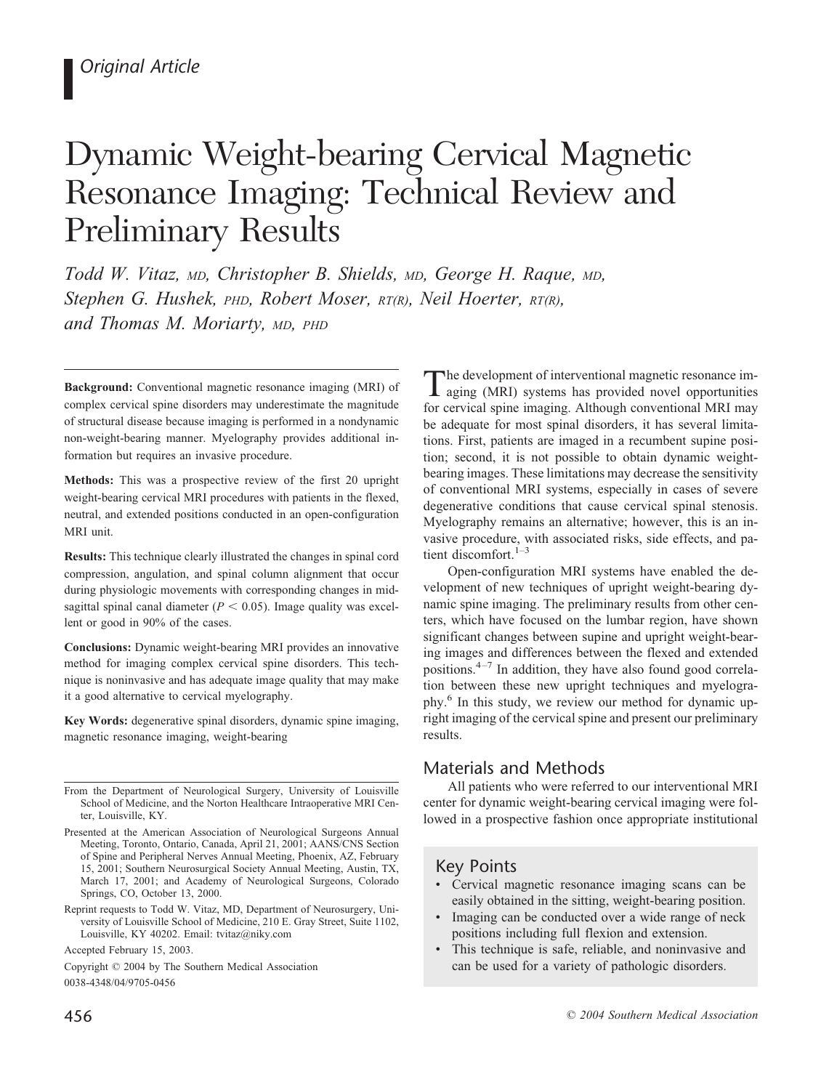# Dynamic Weight-bearing Cervical Magnetic Resonance Imaging: Technical Review and Preliminary Results

*Todd W. Vitaz, MD, Christopher B. Shields, MD, George H. Raque, MD, Stephen G. Hushek, PHD, Robert Moser, RT(R), Neil Hoerter, RT(R), and Thomas M. Moriarty, MD, PHD*

**Background:** Conventional magnetic resonance imaging (MRI) of complex cervical spine disorders may underestimate the magnitude of structural disease because imaging is performed in a nondynamic non-weight-bearing manner. Myelography provides additional information but requires an invasive procedure.

**Methods:** This was a prospective review of the first 20 upright weight-bearing cervical MRI procedures with patients in the flexed, neutral, and extended positions conducted in an open-configuration MRI unit.

**Results:** This technique clearly illustrated the changes in spinal cord compression, angulation, and spinal column alignment that occur during physiologic movements with corresponding changes in midsagittal spinal canal diameter ( $P < 0.05$ ). Image quality was excellent or good in 90% of the cases.

**Conclusions:** Dynamic weight-bearing MRI provides an innovative method for imaging complex cervical spine disorders. This technique is noninvasive and has adequate image quality that may make it a good alternative to cervical myelography.

**Key Words:** degenerative spinal disorders, dynamic spine imaging, magnetic resonance imaging, weight-bearing

Copyright © 2004 by The Southern Medical Association 0038-4348/04/9705-0456

The development of interventional magnetic resonance imaging (MRI) systems has provided novel opportunities for cervical spine imaging. Although conventional MRI may be adequate for most spinal disorders, it has several limitations. First, patients are imaged in a recumbent supine position; second, it is not possible to obtain dynamic weightbearing images. These limitations may decrease the sensitivity of conventional MRI systems, especially in cases of severe degenerative conditions that cause cervical spinal stenosis. Myelography remains an alternative; however, this is an invasive procedure, with associated risks, side effects, and patient discomfort.<sup>1-3</sup>

Open-configuration MRI systems have enabled the development of new techniques of upright weight-bearing dynamic spine imaging. The preliminary results from other centers, which have focused on the lumbar region, have shown significant changes between supine and upright weight-bearing images and differences between the flexed and extended positions.4–7 In addition, they have also found good correlation between these new upright techniques and myelography.6 In this study, we review our method for dynamic upright imaging of the cervical spine and present our preliminary results.

# Materials and Methods

All patients who were referred to our interventional MRI center for dynamic weight-bearing cervical imaging were followed in a prospective fashion once appropriate institutional

# Key Points

- Cervical magnetic resonance imaging scans can be easily obtained in the sitting, weight-bearing position.
- Imaging can be conducted over a wide range of neck positions including full flexion and extension.
- This technique is safe, reliable, and noninvasive and can be used for a variety of pathologic disorders.

From the Department of Neurological Surgery, University of Louisville School of Medicine, and the Norton Healthcare Intraoperative MRI Center, Louisville, KY.

Presented at the American Association of Neurological Surgeons Annual Meeting, Toronto, Ontario, Canada, April 21, 2001; AANS/CNS Section of Spine and Peripheral Nerves Annual Meeting, Phoenix, AZ, February 15, 2001; Southern Neurosurgical Society Annual Meeting, Austin, TX, March 17, 2001; and Academy of Neurological Surgeons, Colorado Springs, CO, October 13, 2000.

Reprint requests to Todd W. Vitaz, MD, Department of Neurosurgery, University of Louisville School of Medicine, 210 E. Gray Street, Suite 1102, Louisville, KY 40202. Email: tvitaz@niky.com

Accepted February 15, 2003.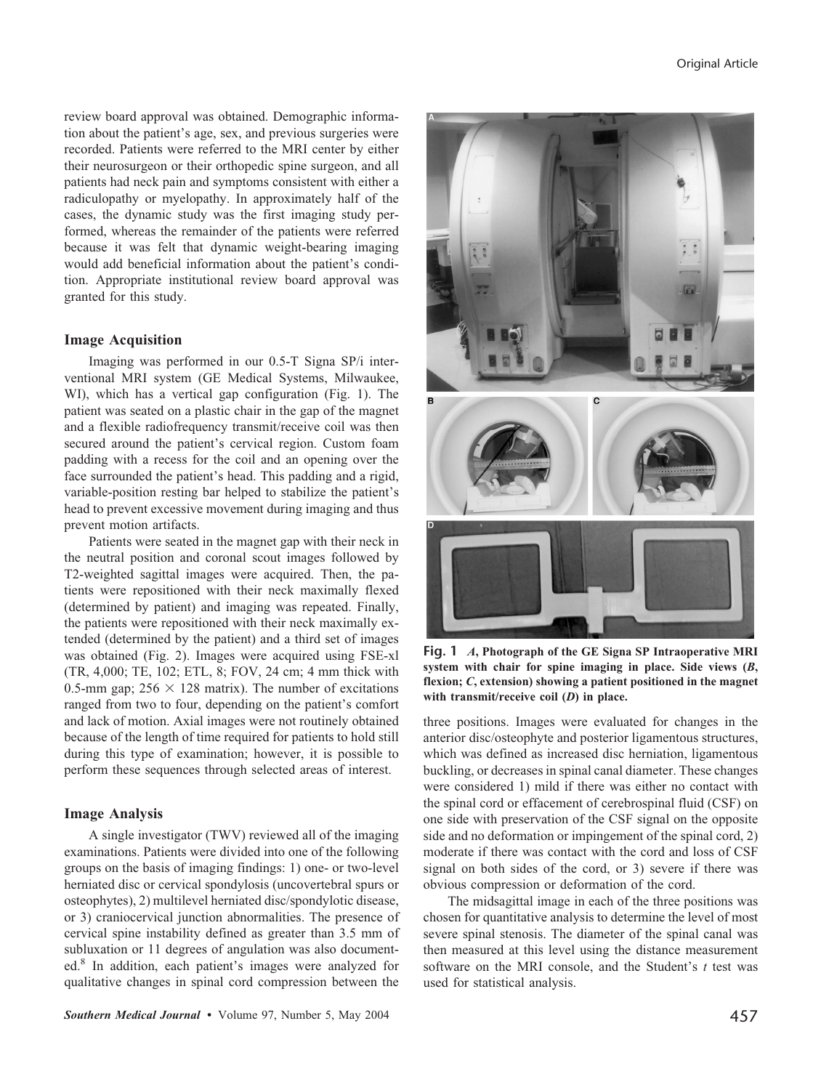review board approval was obtained. Demographic information about the patient's age, sex, and previous surgeries were recorded. Patients were referred to the MRI center by either their neurosurgeon or their orthopedic spine surgeon, and all patients had neck pain and symptoms consistent with either a radiculopathy or myelopathy. In approximately half of the cases, the dynamic study was the first imaging study performed, whereas the remainder of the patients were referred because it was felt that dynamic weight-bearing imaging would add beneficial information about the patient's condition. Appropriate institutional review board approval was granted for this study.

#### **Image Acquisition**

Imaging was performed in our 0.5-T Signa SP/i interventional MRI system (GE Medical Systems, Milwaukee, WI), which has a vertical gap configuration (Fig. 1). The patient was seated on a plastic chair in the gap of the magnet and a flexible radiofrequency transmit/receive coil was then secured around the patient's cervical region. Custom foam padding with a recess for the coil and an opening over the face surrounded the patient's head. This padding and a rigid, variable-position resting bar helped to stabilize the patient's head to prevent excessive movement during imaging and thus prevent motion artifacts.

Patients were seated in the magnet gap with their neck in the neutral position and coronal scout images followed by T2-weighted sagittal images were acquired. Then, the patients were repositioned with their neck maximally flexed (determined by patient) and imaging was repeated. Finally, the patients were repositioned with their neck maximally extended (determined by the patient) and a third set of images was obtained (Fig. 2). Images were acquired using FSE-xl (TR, 4,000; TE, 102; ETL, 8; FOV, 24 cm; 4 mm thick with 0.5-mm gap;  $256 \times 128$  matrix). The number of excitations ranged from two to four, depending on the patient's comfort and lack of motion. Axial images were not routinely obtained because of the length of time required for patients to hold still during this type of examination; however, it is possible to perform these sequences through selected areas of interest.

#### **Image Analysis**

A single investigator (TWV) reviewed all of the imaging examinations. Patients were divided into one of the following groups on the basis of imaging findings: 1) one- or two-level herniated disc or cervical spondylosis (uncovertebral spurs or osteophytes), 2) multilevel herniated disc/spondylotic disease, or 3) craniocervical junction abnormalities. The presence of cervical spine instability defined as greater than 3.5 mm of subluxation or 11 degrees of angulation was also documented.8 In addition, each patient's images were analyzed for qualitative changes in spinal cord compression between the



**Fig. 1** *A***, Photograph of the GE Signa SP Intraoperative MRI system with chair for spine imaging in place. Side views (***B***, flexion;** *C***, extension) showing a patient positioned in the magnet with transmit/receive coil (***D***) in place.**

three positions. Images were evaluated for changes in the anterior disc/osteophyte and posterior ligamentous structures, which was defined as increased disc herniation, ligamentous buckling, or decreases in spinal canal diameter. These changes were considered 1) mild if there was either no contact with the spinal cord or effacement of cerebrospinal fluid (CSF) on one side with preservation of the CSF signal on the opposite side and no deformation or impingement of the spinal cord, 2) moderate if there was contact with the cord and loss of CSF signal on both sides of the cord, or 3) severe if there was obvious compression or deformation of the cord.

The midsagittal image in each of the three positions was chosen for quantitative analysis to determine the level of most severe spinal stenosis. The diameter of the spinal canal was then measured at this level using the distance measurement software on the MRI console, and the Student's *t* test was used for statistical analysis.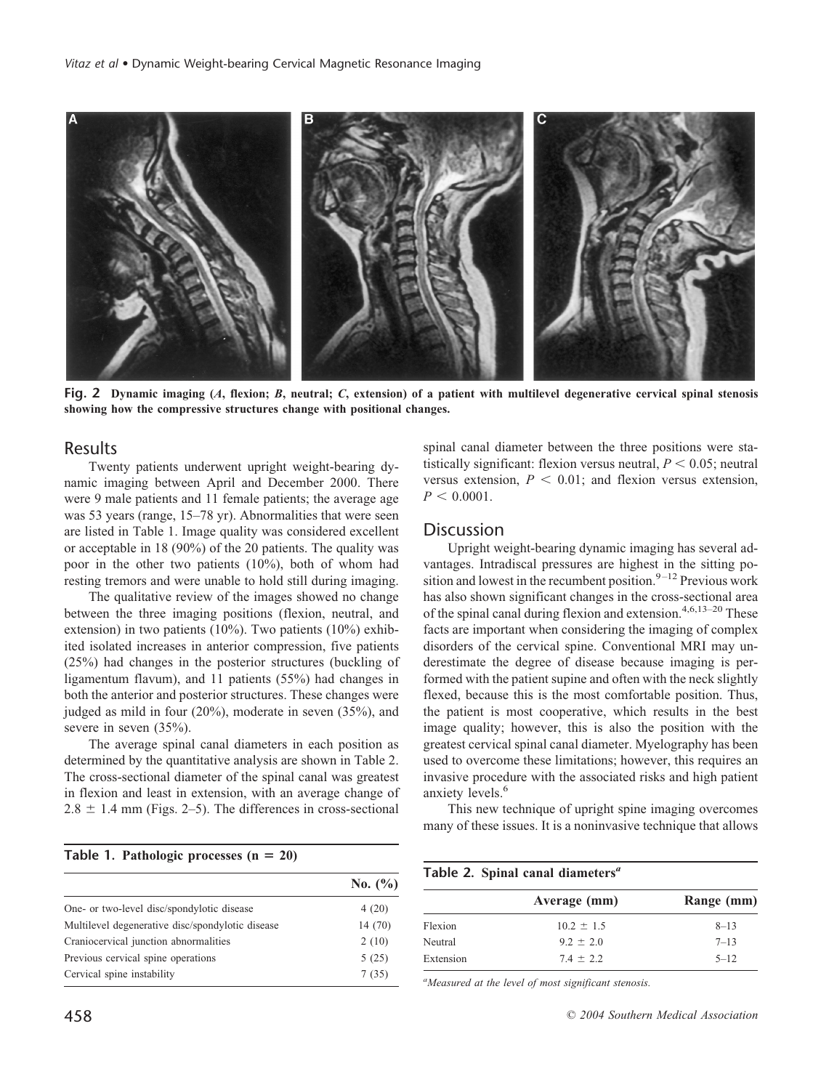

**Fig. 2 Dynamic imaging (***A***, flexion;** *B***, neutral;** *C***, extension) of a patient with multilevel degenerative cervical spinal stenosis showing how the compressive structures change with positional changes.**

## Results

Twenty patients underwent upright weight-bearing dynamic imaging between April and December 2000. There were 9 male patients and 11 female patients; the average age was 53 years (range, 15–78 yr). Abnormalities that were seen are listed in Table 1. Image quality was considered excellent or acceptable in 18 (90%) of the 20 patients. The quality was poor in the other two patients (10%), both of whom had resting tremors and were unable to hold still during imaging.

The qualitative review of the images showed no change between the three imaging positions (flexion, neutral, and extension) in two patients (10%). Two patients (10%) exhibited isolated increases in anterior compression, five patients (25%) had changes in the posterior structures (buckling of ligamentum flavum), and 11 patients (55%) had changes in both the anterior and posterior structures. These changes were judged as mild in four (20%), moderate in seven (35%), and severe in seven (35%).

The average spinal canal diameters in each position as determined by the quantitative analysis are shown in Table 2. The cross-sectional diameter of the spinal canal was greatest in flexion and least in extension, with an average change of  $2.8 \pm 1.4$  mm (Figs. 2–5). The differences in cross-sectional

#### Table 1. Pathologic processes  $(n = 20)$

|                                                  | No. $(\% )$ |
|--------------------------------------------------|-------------|
| One- or two-level disc/spondylotic disease       | 4(20)       |
| Multilevel degenerative disc/spondylotic disease | 14(70)      |
| Craniocervical junction abnormalities            | 2(10)       |
| Previous cervical spine operations               | 5(25)       |
| Cervical spine instability                       | 7(35)       |

spinal canal diameter between the three positions were statistically significant: flexion versus neutral,  $P \le 0.05$ ; neutral versus extension,  $P < 0.01$ ; and flexion versus extension,  $P < 0.0001$ .

## **Discussion**

Upright weight-bearing dynamic imaging has several advantages. Intradiscal pressures are highest in the sitting position and lowest in the recumbent position.  $9-12$  Previous work has also shown significant changes in the cross-sectional area of the spinal canal during flexion and extension.<sup>4,6,13–20</sup> These facts are important when considering the imaging of complex disorders of the cervical spine. Conventional MRI may underestimate the degree of disease because imaging is performed with the patient supine and often with the neck slightly flexed, because this is the most comfortable position. Thus, the patient is most cooperative, which results in the best image quality; however, this is also the position with the greatest cervical spinal canal diameter. Myelography has been used to overcome these limitations; however, this requires an invasive procedure with the associated risks and high patient anxiety levels.<sup>6</sup>

This new technique of upright spine imaging overcomes many of these issues. It is a noninvasive technique that allows

| Table 2. Spinal canal diameters <sup>a</sup> |                |            |
|----------------------------------------------|----------------|------------|
|                                              | Average (mm)   | Range (mm) |
| Flexion                                      | $10.2 \pm 1.5$ | $8 - 13$   |
| Neutral                                      | $9.2 \pm 2.0$  | $7 - 13$   |
| Extension                                    | $7.4 \pm 2.2$  | $5 - 12$   |

*a Measured at the level of most significant stenosis.*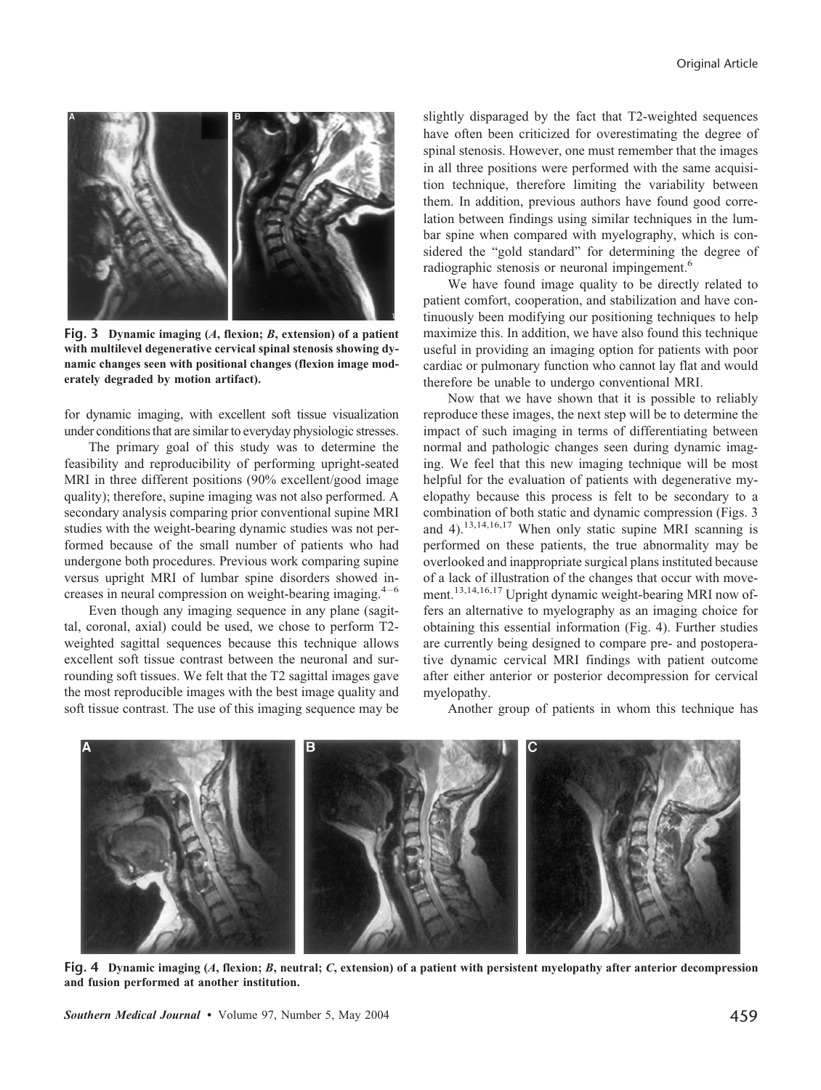

**Fig. 3 Dynamic imaging (***A***, flexion;** *B***, extension) of a patient with multilevel degenerative cervical spinal stenosis showing dynamic changes seen with positional changes (flexion image moderately degraded by motion artifact).**

for dynamic imaging, with excellent soft tissue visualization under conditions that are similar to everyday physiologic stresses.

The primary goal of this study was to determine the feasibility and reproducibility of performing upright-seated MRI in three different positions (90% excellent/good image quality); therefore, supine imaging was not also performed. A secondary analysis comparing prior conventional supine MRI studies with the weight-bearing dynamic studies was not performed because of the small number of patients who had undergone both procedures. Previous work comparing supine versus upright MRI of lumbar spine disorders showed increases in neural compression on weight-bearing imaging.<sup>4-6</sup>

Even though any imaging sequence in any plane (sagittal, coronal, axial) could be used, we chose to perform T2 weighted sagittal sequences because this technique allows excellent soft tissue contrast between the neuronal and surrounding soft tissues. We felt that the T2 sagittal images gave the most reproducible images with the best image quality and soft tissue contrast. The use of this imaging sequence may be

slightly disparaged by the fact that T2-weighted sequences have often been criticized for overestimating the degree of spinal stenosis. However, one must remember that the images in all three positions were performed with the same acquisition technique, therefore limiting the variability between them. In addition, previous authors have found good correlation between findings using similar techniques in the lumbar spine when compared with myelography, which is considered the "gold standard" for determining the degree of radiographic stenosis or neuronal impingement.<sup>6</sup>

We have found image quality to be directly related to patient comfort, cooperation, and stabilization and have continuously been modifying our positioning techniques to help maximize this. In addition, we have also found this technique useful in providing an imaging option for patients with poor cardiac or pulmonary function who cannot lay flat and would therefore be unable to undergo conventional MRI.

Now that we have shown that it is possible to reliably reproduce these images, the next step will be to determine the impact of such imaging in terms of differentiating between normal and pathologic changes seen during dynamic imaging. We feel that this new imaging technique will be most helpful for the evaluation of patients with degenerative myelopathy because this process is felt to be secondary to a combination of both static and dynamic compression (Figs. 3 and 4).<sup>13,14,16,17</sup> When only static supine MRI scanning is performed on these patients, the true abnormality may be overlooked and inappropriate surgical plans instituted because of a lack of illustration of the changes that occur with movement.13,14,16,17 Upright dynamic weight-bearing MRI now offers an alternative to myelography as an imaging choice for obtaining this essential information (Fig. 4). Further studies are currently being designed to compare pre- and postoperative dynamic cervical MRI findings with patient outcome after either anterior or posterior decompression for cervical myelopathy.

Another group of patients in whom this technique has



**Fig. 4 Dynamic imaging (***A***, flexion;** *B***, neutral;** *C***, extension) of a patient with persistent myelopathy after anterior decompression and fusion performed at another institution.**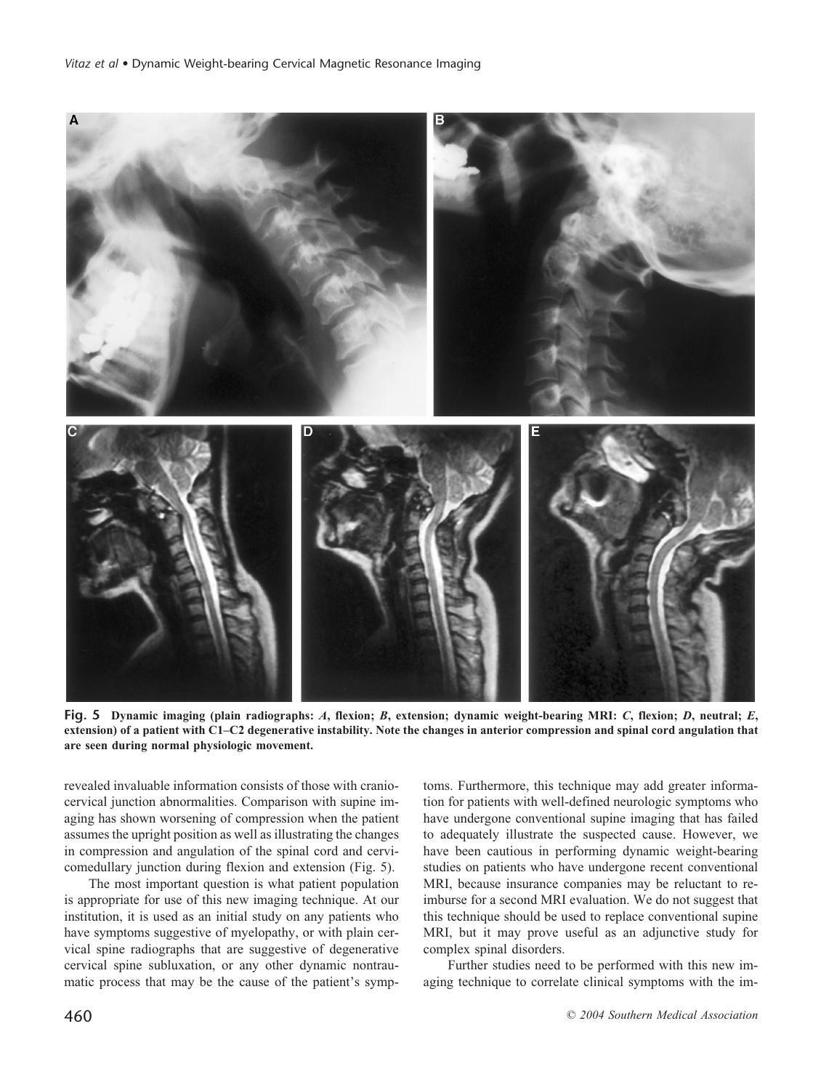

**Fig. 5 Dynamic imaging (plain radiographs:** *A***, flexion;** *B***, extension; dynamic weight-bearing MRI:** *C***, flexion;** *D***, neutral;** *E***, extension) of a patient with C1–C2 degenerative instability. Note the changes in anterior compression and spinal cord angulation that are seen during normal physiologic movement.**

revealed invaluable information consists of those with craniocervical junction abnormalities. Comparison with supine imaging has shown worsening of compression when the patient assumes the upright position as well as illustrating the changes in compression and angulation of the spinal cord and cervicomedullary junction during flexion and extension (Fig. 5).

The most important question is what patient population is appropriate for use of this new imaging technique. At our institution, it is used as an initial study on any patients who have symptoms suggestive of myelopathy, or with plain cervical spine radiographs that are suggestive of degenerative cervical spine subluxation, or any other dynamic nontraumatic process that may be the cause of the patient's symp-

toms. Furthermore, this technique may add greater information for patients with well-defined neurologic symptoms who have undergone conventional supine imaging that has failed to adequately illustrate the suspected cause. However, we have been cautious in performing dynamic weight-bearing studies on patients who have undergone recent conventional MRI, because insurance companies may be reluctant to reimburse for a second MRI evaluation. We do not suggest that this technique should be used to replace conventional supine MRI, but it may prove useful as an adjunctive study for complex spinal disorders.

Further studies need to be performed with this new imaging technique to correlate clinical symptoms with the im-